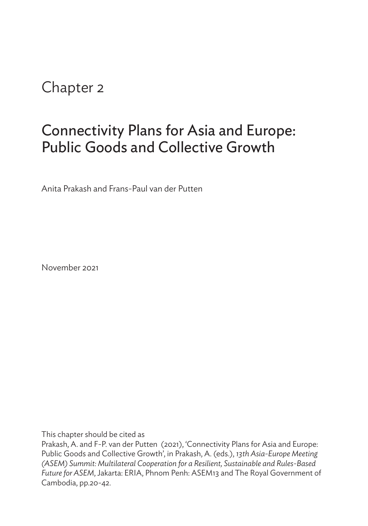# Chapter 2

# Connectivity Plans for Asia and Europe: Public Goods and Collective Growth

Anita Prakash and Frans-Paul van der Putten

November 2021

This chapter should be cited as

Prakash, A. and F-P. van der Putten (2021), 'Connectivity Plans for Asia and Europe: Public Goods and Collective Growth', in Prakash, A. (eds.), *13th Asia-Europe Meeting (ASEM) Summit: Multilateral Cooperation for a Resilient, Sustainable and Rules-Based Future for ASEM*, Jakarta: ERIA, Phnom Penh: ASEM13 and The Royal Government of Cambodia, pp.20-42.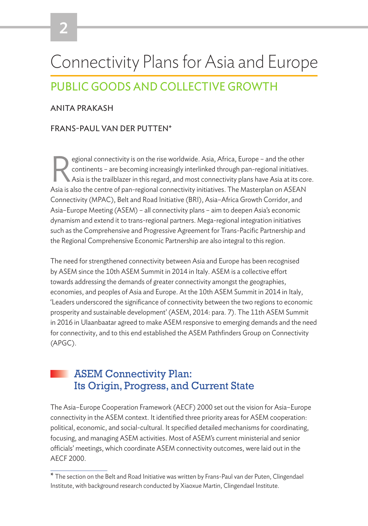# Connectivity Plans for Asia and Europe PUBLIC GOODS AND COLLECTIVE GROWTH

#### ANITA PRAKASH

#### FRANS-PAUL VAN DER PUTTEN\*

Expediant connectivity is on the rise worldwide. Asia, Africa, Europe – and the other continents – are becoming increasingly interlinked through pan-regional initiatives.<br>Asia is the trailblazer in this regard, and most co continents – are becoming increasingly interlinked through pan-regional initiatives. Asia is also the centre of pan-regional connectivity initiatives. The Masterplan on ASEAN Connectivity (MPAC), Belt and Road Initiative (BRI), Asia–Africa Growth Corridor, and Asia–Europe Meeting (ASEM) – all connectivity plans – aim to deepen Asia's economic dynamism and extend it to trans-regional partners. Mega-regional integration initiatives such as the Comprehensive and Progressive Agreement for Trans-Pacific Partnership and the Regional Comprehensive Economic Partnership are also integral to this region.

The need for strengthened connectivity between Asia and Europe has been recognised by ASEM since the 10th ASEM Summit in 2014 in Italy. ASEM is a collective effort towards addressing the demands of greater connectivity amongst the geographies, economies, and peoples of Asia and Europe. At the 10th ASEM Summit in 2014 in Italy, 'Leaders underscored the significance of connectivity between the two regions to economic prosperity and sustainable development' (ASEM, 2014: para. 7). The 11th ASEM Summit in 2016 in Ulaanbaatar agreed to make ASEM responsive to emerging demands and the need for connectivity, and to this end established the ASEM Pathfinders Group on Connectivity (APGC).

## ASEM Connectivity Plan: Its Origin, Progress, and Current State

The Asia–Europe Cooperation Framework (AECF) 2000 set out the vision for Asia–Europe connectivity in the ASEM context. It identified three priority areas for ASEM cooperation: political, economic, and social-cultural. It specified detailed mechanisms for coordinating, focusing, and managing ASEM activities. Most of ASEM's current ministerial and senior officials' meetings, which coordinate ASEM connectivity outcomes, were laid out in the AECF 2000.

<sup>\*</sup> The section on the Belt and Road Initiative was written by Frans-Paul van der Puten, Clingendael Institute, with background research conducted by Xiaoxue Martin, Clingendael Institute.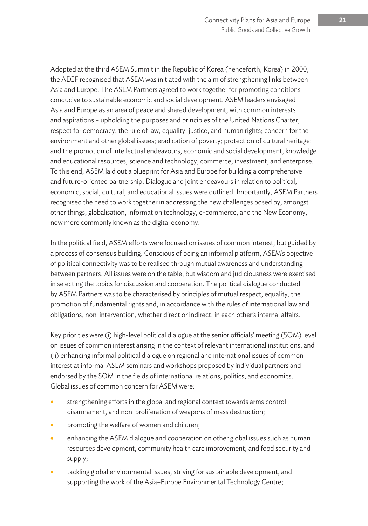Adopted at the third ASEM Summit in the Republic of Korea (henceforth, Korea) in 2000, the AECF recognised that ASEM was initiated with the aim of strengthening links between Asia and Europe. The ASEM Partners agreed to work together for promoting conditions conducive to sustainable economic and social development. ASEM leaders envisaged Asia and Europe as an area of peace and shared development, with common interests and aspirations – upholding the purposes and principles of the United Nations Charter; respect for democracy, the rule of law, equality, justice, and human rights; concern for the environment and other global issues; eradication of poverty; protection of cultural heritage; and the promotion of intellectual endeavours, economic and social development, knowledge and educational resources, science and technology, commerce, investment, and enterprise. To this end, ASEM laid out a blueprint for Asia and Europe for building a comprehensive and future-oriented partnership. Dialogue and joint endeavours in relation to political, economic, social, cultural, and educational issues were outlined. Importantly, ASEM Partners recognised the need to work together in addressing the new challenges posed by, amongst other things, globalisation, information technology, e-commerce, and the New Economy, now more commonly known as the digital economy.

In the political field, ASEM efforts were focused on issues of common interest, but guided by a process of consensus building. Conscious of being an informal platform, ASEM's objective of political connectivity was to be realised through mutual awareness and understanding between partners. All issues were on the table, but wisdom and judiciousness were exercised in selecting the topics for discussion and cooperation. The political dialogue conducted by ASEM Partners was to be characterised by principles of mutual respect, equality, the promotion of fundamental rights and, in accordance with the rules of international law and obligations, non-intervention, whether direct or indirect, in each other's internal affairs.

Key priorities were (i) high-level political dialogue at the senior officials' meeting (SOM) level on issues of common interest arising in the context of relevant international institutions; and (ii) enhancing informal political dialogue on regional and international issues of common interest at informal ASEM seminars and workshops proposed by individual partners and endorsed by the SOM in the fields of international relations, politics, and economics. Global issues of common concern for ASEM were:

- strengthening efforts in the global and regional context towards arms control, disarmament, and non-proliferation of weapons of mass destruction;
- promoting the welfare of women and children;
- enhancing the ASEM dialogue and cooperation on other global issues such as human resources development, community health care improvement, and food security and supply;
- tackling global environmental issues, striving for sustainable development, and supporting the work of the Asia–Europe Environmental Technology Centre;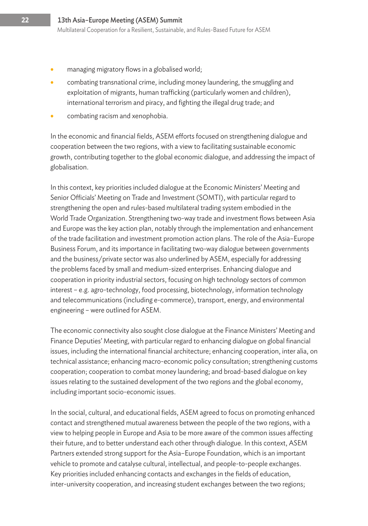- managing migratory flows in a globalised world;
- combating transnational crime, including money laundering, the smuggling and exploitation of migrants, human trafficking (particularly women and children), international terrorism and piracy, and fighting the illegal drug trade; and
- combating racism and xenophobia.

In the economic and financial fields, ASEM efforts focused on strengthening dialogue and cooperation between the two regions, with a view to facilitating sustainable economic growth, contributing together to the global economic dialogue, and addressing the impact of globalisation.

In this context, key priorities included dialogue at the Economic Ministers' Meeting and Senior Officials' Meeting on Trade and Investment (SOMTI), with particular regard to strengthening the open and rules-based multilateral trading system embodied in the World Trade Organization. Strengthening two-way trade and investment flows between Asia and Europe was the key action plan, notably through the implementation and enhancement of the trade facilitation and investment promotion action plans. The role of the Asia–Europe Business Forum, and its importance in facilitating two-way dialogue between governments and the business/private sector was also underlined by ASEM, especially for addressing the problems faced by small and medium-sized enterprises. Enhancing dialogue and cooperation in priority industrial sectors, focusing on high technology sectors of common interest – e.g. agro-technology, food processing, biotechnology, information technology and telecommunications (including e-commerce), transport, energy, and environmental engineering – were outlined for ASEM.

The economic connectivity also sought close dialogue at the Finance Ministers' Meeting and Finance Deputies' Meeting, with particular regard to enhancing dialogue on global financial issues, including the international financial architecture; enhancing cooperation, inter alia, on technical assistance; enhancing macro-economic policy consultation; strengthening customs cooperation; cooperation to combat money laundering; and broad-based dialogue on key issues relating to the sustained development of the two regions and the global economy, including important socio-economic issues.

In the social, cultural, and educational fields, ASEM agreed to focus on promoting enhanced contact and strengthened mutual awareness between the people of the two regions, with a view to helping people in Europe and Asia to be more aware of the common issues affecting their future, and to better understand each other through dialogue. In this context, ASEM Partners extended strong support for the Asia–Europe Foundation, which is an important vehicle to promote and catalyse cultural, intellectual, and people-to-people exchanges. Key priorities included enhancing contacts and exchanges in the fields of education, inter-university cooperation, and increasing student exchanges between the two regions;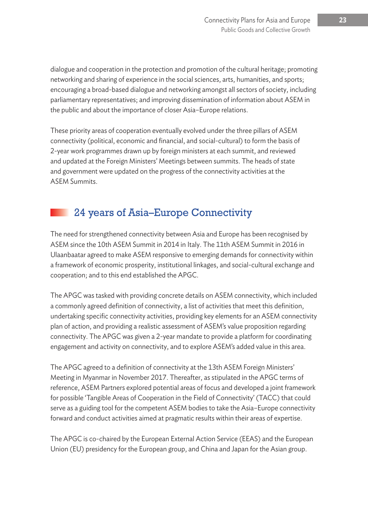dialogue and cooperation in the protection and promotion of the cultural heritage; promoting networking and sharing of experience in the social sciences, arts, humanities, and sports; encouraging a broad-based dialogue and networking amongst all sectors of society, including parliamentary representatives; and improving dissemination of information about ASEM in the public and about the importance of closer Asia–Europe relations.

These priority areas of cooperation eventually evolved under the three pillars of ASEM connectivity (political, economic and financial, and social-cultural) to form the basis of 2-year work programmes drawn up by foreign ministers at each summit, and reviewed and updated at the Foreign Ministers' Meetings between summits. The heads of state and government were updated on the progress of the connectivity activities at the ASEM Summits.

# 24 years of Asia–Europe Connectivity

The need for strengthened connectivity between Asia and Europe has been recognised by ASEM since the 10th ASEM Summit in 2014 in Italy. The 11th ASEM Summit in 2016 in Ulaanbaatar agreed to make ASEM responsive to emerging demands for connectivity within a framework of economic prosperity, institutional linkages, and social-cultural exchange and cooperation; and to this end established the APGC.

The APGC was tasked with providing concrete details on ASEM connectivity, which included a commonly agreed definition of connectivity, a list of activities that meet this definition, undertaking specific connectivity activities, providing key elements for an ASEM connectivity plan of action, and providing a realistic assessment of ASEM's value proposition regarding connectivity. The APGC was given a 2-year mandate to provide a platform for coordinating engagement and activity on connectivity, and to explore ASEM's added value in this area.

The APGC agreed to a definition of connectivity at the 13th ASEM Foreign Ministers' Meeting in Myanmar in November 2017. Thereafter, as stipulated in the APGC terms of reference, ASEM Partners explored potential areas of focus and developed a joint framework for possible 'Tangible Areas of Cooperation in the Field of Connectivity' (TACC) that could serve as a guiding tool for the competent ASEM bodies to take the Asia–Europe connectivity forward and conduct activities aimed at pragmatic results within their areas of expertise.

The APGC is co-chaired by the European External Action Service (EEAS) and the European Union (EU) presidency for the European group, and China and Japan for the Asian group.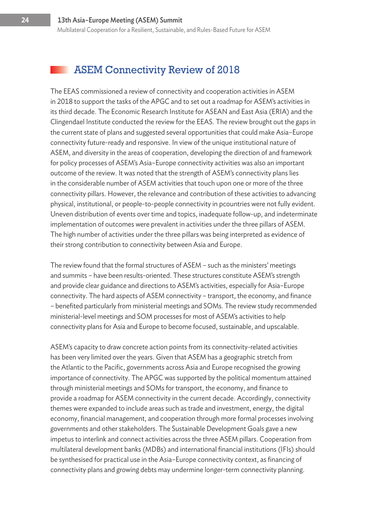#### ASEM Connectivity Review of 2018

The EEAS commissioned a review of connectivity and cooperation activities in ASEM in 2018 to support the tasks of the APGC and to set out a roadmap for ASEM's activities in its third decade. The Economic Research Institute for ASEAN and East Asia (ERIA) and the Clingendael Institute conducted the review for the EEAS. The review brought out the gaps in the current state of plans and suggested several opportunities that could make Asia–Europe connectivity future-ready and responsive. In view of the unique institutional nature of ASEM, and diversity in the areas of cooperation, developing the direction of and framework for policy processes of ASEM's Asia–Europe connectivity activities was also an important outcome of the review. It was noted that the strength of ASEM's connectivity plans lies in the considerable number of ASEM activities that touch upon one or more of the three connectivity pillars. However, the relevance and contribution of these activities to advancing physical, institutional, or people-to-people connectivity in pcountries were not fully evident. Uneven distribution of events over time and topics, inadequate follow-up, and indeterminate implementation of outcomes were prevalent in activities under the three pillars of ASEM. The high number of activities under the three pillars was being interpreted as evidence of their strong contribution to connectivity between Asia and Europe.

The review found that the formal structures of ASEM – such as the ministers' meetings and summits – have been results-oriented. These structures constitute ASEM's strength and provide clear guidance and directions to ASEM's activities, especially for Asia–Europe connectivity. The hard aspects of ASEM connectivity – transport, the economy, and finance – benefited particularly from ministerial meetings and SOMs. The review study recommended ministerial-level meetings and SOM processes for most of ASEM's activities to help connectivity plans for Asia and Europe to become focused, sustainable, and upscalable.

ASEM's capacity to draw concrete action points from its connectivity-related activities has been very limited over the years. Given that ASEM has a geographic stretch from the Atlantic to the Pacific, governments across Asia and Europe recognised the growing importance of connectivity. The APGC was supported by the political momentum attained through ministerial meetings and SOMs for transport, the economy, and finance to provide a roadmap for ASEM connectivity in the current decade. Accordingly, connectivity themes were expanded to include areas such as trade and investment, energy, the digital economy, financial management, and cooperation through more formal processes involving governments and other stakeholders. The Sustainable Development Goals gave a new impetus to interlink and connect activities across the three ASEM pillars. Cooperation from multilateral development banks (MDBs) and international financial institutions (IFIs) should be synthesised for practical use in the Asia–Europe connectivity context, as financing of connectivity plans and growing debts may undermine longer-term connectivity planning.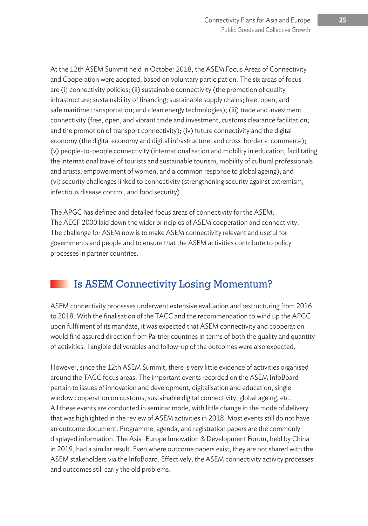At the 12th ASEM Summit held in October 2018, the ASEM Focus Areas of Connectivity and Cooperation were adopted, based on voluntary participation. The six areas of focus are (i) connectivity policies; (ii) sustainable connectivity (the promotion of quality infrastructure; sustainability of financing; sustainable supply chains; free, open, and safe maritime transportation; and clean energy technologies); (iii) trade and investment connectivity (free, open, and vibrant trade and investment; customs clearance facilitation; and the promotion of transport connectivity); (iv) future connectivity and the digital economy (the digital economy and digital infrastructure, and cross-border e-commerce); (v) people-to-people connectivity (internationalisation and mobility in education, facilitating the international travel of tourists and sustainable tourism, mobility of cultural professionals and artists, empowerment of women, and a common response to global ageing); and (vi) security challenges linked to connectivity (strengthening security against extremism, infectious disease control, and food security).

The APGC has defined and detailed focus areas of connectivity for the ASEM. The AECF 2000 laid down the wider principles of ASEM cooperation and connectivity. The challenge for ASEM now is to make ASEM connectivity relevant and useful for governments and people and to ensure that the ASEM activities contribute to policy processes in partner countries.

# Is ASEM Connectivity Losing Momentum?

ASEM connectivity processes underwent extensive evaluation and restructuring from 2016 to 2018. With the finalisation of the TACC and the recommendation to wind up the APGC upon fulfilment of its mandate, it was expected that ASEM connectivity and cooperation would find assured direction from Partner countries in terms of both the quality and quantity of activities. Tangible deliverables and follow-up of the outcomes were also expected.

However, since the 12th ASEM Summit, there is very little evidence of activities organised around the TACC focus areas. The important events recorded on the ASEM InfoBoard pertain to issues of innovation and development, digitalisation and education, single window cooperation on customs, sustainable digital connectivity, global ageing, etc. All these events are conducted in seminar mode, with little change in the mode of delivery that was highlighted in the review of ASEM activities in 2018. Most events still do not have an outcome document. Programme, agenda, and registration papers are the commonly displayed information. The Asia–Europe Innovation & Development Forum, held by China in 2019, had a similar result. Even where outcome papers exist, they are not shared with the ASEM stakeholders via the InfoBoard. Effectively, the ASEM connectivity activity processes and outcomes still carry the old problems.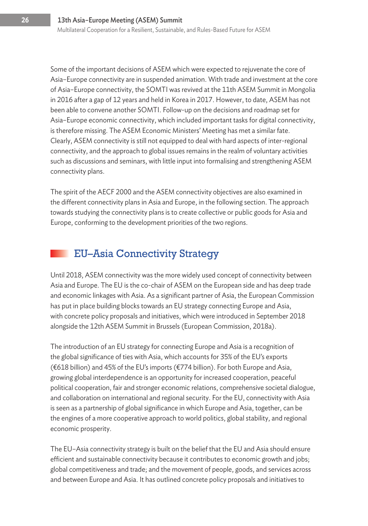Some of the important decisions of ASEM which were expected to rejuvenate the core of Asia–Europe connectivity are in suspended animation. With trade and investment at the core of Asia–Europe connectivity, the SOMTI was revived at the 11th ASEM Summit in Mongolia in 2016 after a gap of 12 years and held in Korea in 2017. However, to date, ASEM has not been able to convene another SOMTI. Follow-up on the decisions and roadmap set for Asia–Europe economic connectivity, which included important tasks for digital connectivity, is therefore missing. The ASEM Economic Ministers' Meeting has met a similar fate. Clearly, ASEM connectivity is still not equipped to deal with hard aspects of inter-regional connectivity, and the approach to global issues remains in the realm of voluntary activities such as discussions and seminars, with little input into formalising and strengthening ASEM connectivity plans.

The spirit of the AECF 2000 and the ASEM connectivity objectives are also examined in the different connectivity plans in Asia and Europe, in the following section. The approach towards studying the connectivity plans is to create collective or public goods for Asia and Europe, conforming to the development priorities of the two regions.

#### EU–Asia Connectivity Strategy

Until 2018, ASEM connectivity was the more widely used concept of connectivity between Asia and Europe. The EU is the co-chair of ASEM on the European side and has deep trade and economic linkages with Asia. As a significant partner of Asia, the European Commission has put in place building blocks towards an EU strategy connecting Europe and Asia, with concrete policy proposals and initiatives, which were introduced in September 2018 alongside the 12th ASEM Summit in Brussels (European Commission, 2018a).

The introduction of an EU strategy for connecting Europe and Asia is a recognition of the global significance of ties with Asia, which accounts for 35% of the EU's exports (€618 billion) and 45% of the EU's imports (€774 billion). For both Europe and Asia, growing global interdependence is an opportunity for increased cooperation, peaceful political cooperation, fair and stronger economic relations, comprehensive societal dialogue, and collaboration on international and regional security. For the EU, connectivity with Asia is seen as a partnership of global significance in which Europe and Asia, together, can be the engines of a more cooperative approach to world politics, global stability, and regional economic prosperity.

The EU–Asia connectivity strategy is built on the belief that the EU and Asia should ensure efficient and sustainable connectivity because it contributes to economic growth and jobs; global competitiveness and trade; and the movement of people, goods, and services across and between Europe and Asia. It has outlined concrete policy proposals and initiatives to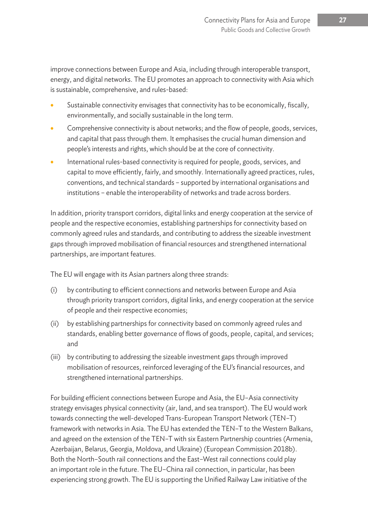improve connections between Europe and Asia, including through interoperable transport, energy, and digital networks. The EU promotes an approach to connectivity with Asia which is sustainable, comprehensive, and rules-based:

- Sustainable connectivity envisages that connectivity has to be economically, fiscally, environmentally, and socially sustainable in the long term.
- Comprehensive connectivity is about networks; and the flow of people, goods, services, and capital that pass through them. It emphasises the crucial human dimension and people's interests and rights, which should be at the core of connectivity.
- International rules-based connectivity is required for people, goods, services, and capital to move efficiently, fairly, and smoothly. Internationally agreed practices, rules, conventions, and technical standards – supported by international organisations and institutions – enable the interoperability of networks and trade across borders.

In addition, priority transport corridors, digital links and energy cooperation at the service of people and the respective economies, establishing partnerships for connectivity based on commonly agreed rules and standards, and contributing to address the sizeable investment gaps through improved mobilisation of financial resources and strengthened international partnerships, are important features.

The EU will engage with its Asian partners along three strands:

- (i) by contributing to efficient connections and networks between Europe and Asia through priority transport corridors, digital links, and energy cooperation at the service of people and their respective economies;
- (ii) by establishing partnerships for connectivity based on commonly agreed rules and standards, enabling better governance of flows of goods, people, capital, and services; and
- (iii) by contributing to addressing the sizeable investment gaps through improved mobilisation of resources, reinforced leveraging of the EU's financial resources, and strengthened international partnerships.

For building efficient connections between Europe and Asia, the EU–Asia connectivity strategy envisages physical connectivity (air, land, and sea transport). The EU would work towards connecting the well-developed Trans-European Transport Network (TEN–T) framework with networks in Asia. The EU has extended the TEN–T to the Western Balkans, and agreed on the extension of the TEN–T with six Eastern Partnership countries (Armenia, Azerbaijan, Belarus, Georgia, Moldova, and Ukraine) (European Commission 2018b). Both the North–South rail connections and the East–West rail connections could play an important role in the future. The EU–China rail connection, in particular, has been experiencing strong growth. The EU is supporting the Unified Railway Law initiative of the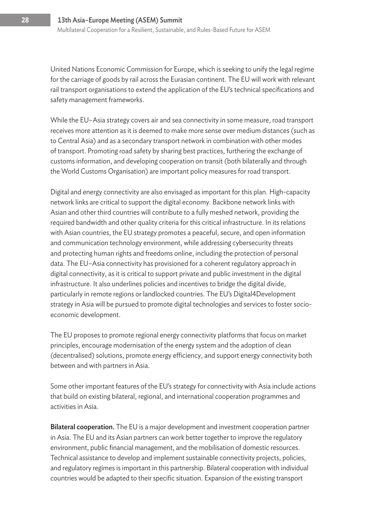United Nations Economic Commission for Europe, which is seeking to unify the legal regime for the carriage of goods by rail across the Eurasian continent. The EU will work with relevant rail transport organisations to extend the application of the EU's technical specifications and safety management frameworks.

While the EU–Asia strategy covers air and sea connectivity in some measure, road transport receives more attention as it is deemed to make more sense over medium distances (such as to Central Asia) and as a secondary transport network in combination with other modes of transport. Promoting road safety by sharing best practices, furthering the exchange of customs information, and developing cooperation on transit (both bilaterally and through the World Customs Organisation) are important policy measures for road transport.

Digital and energy connectivity are also envisaged as important for this plan. High-capacity network links are critical to support the digital economy. Backbone network links with Asian and other third countries will contribute to a fully meshed network, providing the required bandwidth and other quality criteria for this critical infrastructure. In its relations with Asian countries, the EU strategy promotes a peaceful, secure, and open information and communication technology environment, while addressing cybersecurity threats and protecting human rights and freedoms online, including the protection of personal data. The EU–Asia connectivity has provisioned for a coherent regulatory approach in digital connectivity, as it is critical to support private and public investment in the digital infrastructure. It also underlines policies and incentives to bridge the digital divide, particularly in remote regions or landlocked countries. The EU's Digital4Development strategy in Asia will be pursued to promote digital technologies and services to foster socioeconomic development.

The EU proposes to promote regional energy connectivity platforms that focus on market principles, encourage modernisation of the energy system and the adoption of clean (decentralised) solutions, promote energy efficiency, and support energy connectivity both between and with partners in Asia.

Some other important features of the EU's strategy for connectivity with Asia include actions that build on existing bilateral, regional, and international cooperation programmes and activities in Asia.

Bilateral cooperation. The EU is a major development and investment cooperation partner in Asia. The EU and its Asian partners can work better together to improve the regulatory environment, public financial management, and the mobilisation of domestic resources. Technical assistance to develop and implement sustainable connectivity projects, policies, and regulatory regimes is important in this partnership. Bilateral cooperation with individual countries would be adapted to their specific situation. Expansion of the existing transport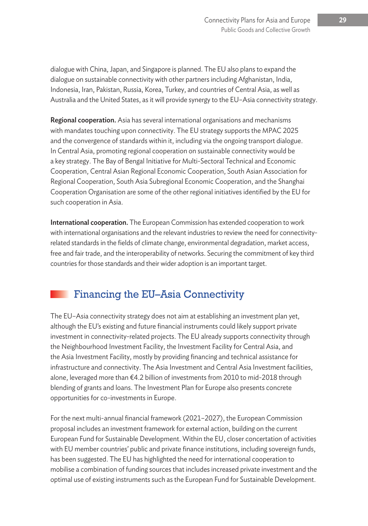dialogue with China, Japan, and Singapore is planned. The EU also plans to expand the dialogue on sustainable connectivity with other partners including Afghanistan, India, Indonesia, Iran, Pakistan, Russia, Korea, Turkey, and countries of Central Asia, as well as Australia and the United States, as it will provide synergy to the EU–Asia connectivity strategy.

Regional cooperation. Asia has several international organisations and mechanisms with mandates touching upon connectivity. The EU strategy supports the MPAC 2025 and the convergence of standards within it, including via the ongoing transport dialogue. In Central Asia, promoting regional cooperation on sustainable connectivity would be a key strategy. The Bay of Bengal Initiative for Multi-Sectoral Technical and Economic Cooperation, Central Asian Regional Economic Cooperation, South Asian Association for Regional Cooperation, South Asia Subregional Economic Cooperation, and the Shanghai Cooperation Organisation are some of the other regional initiatives identified by the EU for such cooperation in Asia.

International cooperation. The European Commission has extended cooperation to work with international organisations and the relevant industries to review the need for connectivityrelated standards in the fields of climate change, environmental degradation, market access, free and fair trade, and the interoperability of networks. Securing the commitment of key third countries for those standards and their wider adoption is an important target.

# Financing the EU–Asia Connectivity

The EU–Asia connectivity strategy does not aim at establishing an investment plan yet, although the EU's existing and future financial instruments could likely support private investment in connectivity-related projects. The EU already supports connectivity through the Neighbourhood Investment Facility, the Investment Facility for Central Asia, and the Asia Investment Facility, mostly by providing financing and technical assistance for infrastructure and connectivity. The Asia Investment and Central Asia Investment facilities, alone, leveraged more than €4.2 billion of investments from 2010 to mid-2018 through blending of grants and loans. The Investment Plan for Europe also presents concrete opportunities for co-investments in Europe.

For the next multi-annual financial framework (2021–2027), the European Commission proposal includes an investment framework for external action, building on the current European Fund for Sustainable Development. Within the EU, closer concertation of activities with EU member countries' public and private finance institutions, including sovereign funds, has been suggested. The EU has highlighted the need for international cooperation to mobilise a combination of funding sources that includes increased private investment and the optimal use of existing instruments such as the European Fund for Sustainable Development.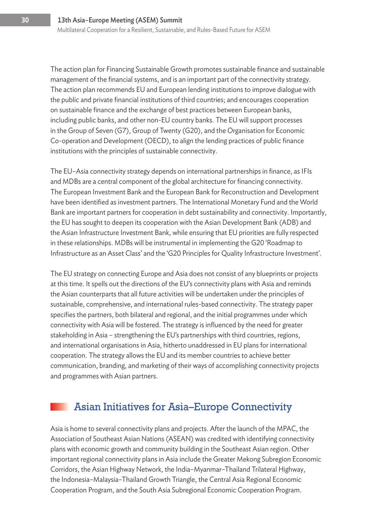The action plan for Financing Sustainable Growth promotes sustainable finance and sustainable management of the financial systems, and is an important part of the connectivity strategy. The action plan recommends EU and European lending institutions to improve dialogue with the public and private financial institutions of third countries; and encourages cooperation on sustainable finance and the exchange of best practices between European banks, including public banks, and other non-EU country banks. The EU will support processes in the Group of Seven (G7), Group of Twenty (G20), and the Organisation for Economic Co-operation and Development (OECD), to align the lending practices of public finance institutions with the principles of sustainable connectivity.

The EU–Asia connectivity strategy depends on international partnerships in finance, as IFIs and MDBs are a central component of the global architecture for financing connectivity. The European Investment Bank and the European Bank for Reconstruction and Development have been identified as investment partners. The International Monetary Fund and the World Bank are important partners for cooperation in debt sustainability and connectivity. Importantly, the EU has sought to deepen its cooperation with the Asian Development Bank (ADB) and the Asian Infrastructure Investment Bank, while ensuring that EU priorities are fully respected in these relationships. MDBs will be instrumental in implementing the G20 'Roadmap to Infrastructure as an Asset Class' and the 'G20 Principles for Quality Infrastructure Investment'.

The EU strategy on connecting Europe and Asia does not consist of any blueprints or projects at this time. It spells out the directions of the EU's connectivity plans with Asia and reminds the Asian counterparts that all future activities will be undertaken under the principles of sustainable, comprehensive, and international rules-based connectivity. The strategy paper specifies the partners, both bilateral and regional, and the initial programmes under which connectivity with Asia will be fostered. The strategy is influenced by the need for greater stakeholding in Asia – strengthening the EU's partnerships with third countries, regions, and international organisations in Asia, hitherto unaddressed in EU plans for international cooperation. The strategy allows the EU and its member countries to achieve better communication, branding, and marketing of their ways of accomplishing connectivity projects and programmes with Asian partners.

### Asian Initiatives for Asia–Europe Connectivity

Asia is home to several connectivity plans and projects. After the launch of the MPAC, the Association of Southeast Asian Nations (ASEAN) was credited with identifying connectivity plans with economic growth and community building in the Southeast Asian region. Other important regional connectivity plans in Asia include the Greater Mekong Subregion Economic Corridors, the Asian Highway Network, the India–Myanmar–Thailand Trilateral Highway, the Indonesia–Malaysia–Thailand Growth Triangle, the Central Asia Regional Economic Cooperation Program, and the South Asia Subregional Economic Cooperation Program.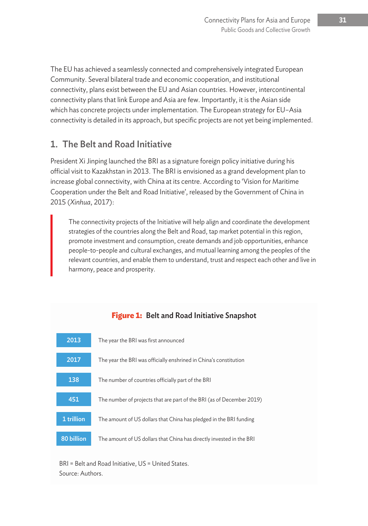The EU has achieved a seamlessly connected and comprehensively integrated European Community. Several bilateral trade and economic cooperation, and institutional connectivity, plans exist between the EU and Asian countries. However, intercontinental connectivity plans that link Europe and Asia are few. Importantly, it is the Asian side which has concrete projects under implementation. The European strategy for EU–Asia connectivity is detailed in its approach, but specific projects are not yet being implemented.

### 1. The Belt and Road Initiative

President Xi Jinping launched the BRI as a signature foreign policy initiative during his official visit to Kazakhstan in 2013. The BRI is envisioned as a grand development plan to increase global connectivity, with China at its centre. According to 'Vision for Maritime Cooperation under the Belt and Road Initiative', released by the Government of China in 2015 (*Xinhua*, 2017):

The connectivity projects of the Initiative will help align and coordinate the development strategies of the countries along the Belt and Road, tap market potential in this region, promote investment and consumption, create demands and job opportunities, enhance people-to-people and cultural exchanges, and mutual learning among the peoples of the relevant countries, and enable them to understand, trust and respect each other and live in harmony, peace and prosperity.



#### **Figure 1:** Belt and Road Initiative Snapshot

BRI = Belt and Road Initiative, US = United States. Source: Authors.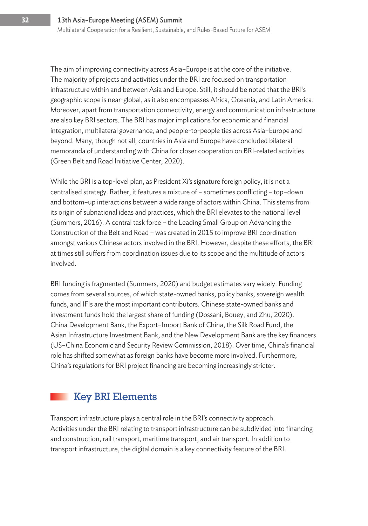The aim of improving connectivity across Asia–Europe is at the core of the initiative. The majority of projects and activities under the BRI are focused on transportation infrastructure within and between Asia and Europe. Still, it should be noted that the BRI's geographic scope is near-global, as it also encompasses Africa, Oceania, and Latin America. Moreover, apart from transportation connectivity, energy and communication infrastructure are also key BRI sectors. The BRI has major implications for economic and financial integration, multilateral governance, and people-to-people ties across Asia–Europe and beyond. Many, though not all, countries in Asia and Europe have concluded bilateral memoranda of understanding with China for closer cooperation on BRI-related activities (Green Belt and Road Initiative Center, 2020).

While the BRI is a top-level plan, as President Xi's signature foreign policy, it is not a centralised strategy. Rather, it features a mixture of – sometimes conflicting – top–down and bottom–up interactions between a wide range of actors within China. This stems from its origin of subnational ideas and practices, which the BRI elevates to the national level (Summers, 2016). A central task force – the Leading Small Group on Advancing the Construction of the Belt and Road – was created in 2015 to improve BRI coordination amongst various Chinese actors involved in the BRI. However, despite these efforts, the BRI at times still suffers from coordination issues due to its scope and the multitude of actors involved.

BRI funding is fragmented (Summers, 2020) and budget estimates vary widely. Funding comes from several sources, of which state-owned banks, policy banks, sovereign wealth funds, and IFIs are the most important contributors. Chinese state-owned banks and investment funds hold the largest share of funding (Dossani, Bouey, and Zhu, 2020). China Development Bank, the Export–Import Bank of China, the Silk Road Fund, the Asian Infrastructure Investment Bank, and the New Development Bank are the key financers (US–China Economic and Security Review Commission, 2018). Over time, China's financial role has shifted somewhat as foreign banks have become more involved. Furthermore, China's regulations for BRI project financing are becoming increasingly stricter.

## Key BRI Elements

Transport infrastructure plays a central role in the BRI's connectivity approach. Activities under the BRI relating to transport infrastructure can be subdivided into financing and construction, rail transport, maritime transport, and air transport. In addition to transport infrastructure, the digital domain is a key connectivity feature of the BRI.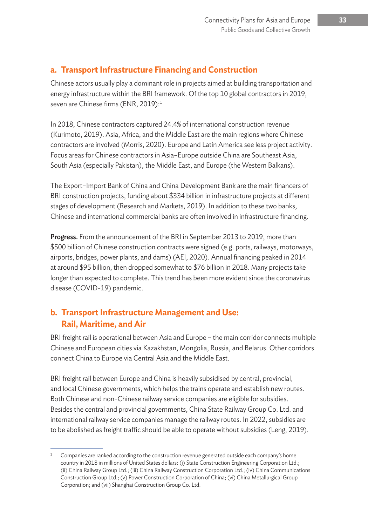#### **a. Transport Infrastructure Financing and Construction**

Chinese actors usually play a dominant role in projects aimed at building transportation and energy infrastructure within the BRI framework. Of the top 10 global contractors in 2019, seven are Chinese firms (ENR, 2019):<sup>1</sup>

In 2018, Chinese contractors captured 24.4% of international construction revenue (Kurimoto, 2019). Asia, Africa, and the Middle East are the main regions where Chinese contractors are involved (Morris, 2020). Europe and Latin America see less project activity. Focus areas for Chinese contractors in Asia–Europe outside China are Southeast Asia, South Asia (especially Pakistan), the Middle East, and Europe (the Western Balkans).

The Export–Import Bank of China and China Development Bank are the main financers of BRI construction projects, funding about \$334 billion in infrastructure projects at different stages of development (Research and Markets, 2019). In addition to these two banks, Chinese and international commercial banks are often involved in infrastructure financing.

Progress. From the announcement of the BRI in September 2013 to 2019, more than \$500 billion of Chinese construction contracts were signed (e.g. ports, railways, motorways, airports, bridges, power plants, and dams) (AEI, 2020). Annual financing peaked in 2014 at around \$95 billion, then dropped somewhat to \$76 billion in 2018. Many projects take longer than expected to complete. This trend has been more evident since the coronavirus disease (COVID-19) pandemic.

#### **b. Transport Infrastructure Management and Use: Rail, Maritime, and Air**

BRI freight rail is operational between Asia and Europe – the main corridor connects multiple Chinese and European cities via Kazakhstan, Mongolia, Russia, and Belarus. Other corridors connect China to Europe via Central Asia and the Middle East.

BRI freight rail between Europe and China is heavily subsidised by central, provincial, and local Chinese governments, which helps the trains operate and establish new routes. Both Chinese and non-Chinese railway service companies are eligible for subsidies. Besides the central and provincial governments, China State Railway Group Co. Ltd. and international railway service companies manage the railway routes. In 2022, subsidies are to be abolished as freight traffic should be able to operate without subsidies (Leng, 2019).

Companies are ranked according to the construction revenue generated outside each company's home country in 2018 in millions of United States dollars: (i) State Construction Engineering Corporation Ltd.; (ii) China Railway Group Ltd.; (iii) China Railway Construction Corporation Ltd.; (iv) China Communications Construction Group Ltd.; (v) Power Construction Corporation of China; (vi) China Metallurgical Group Corporation; and (vii) Shanghai Construction Group Co. Ltd.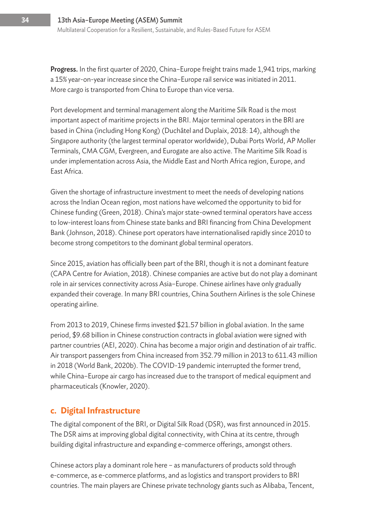Progress. In the first quarter of 2020, China–Europe freight trains made 1,941 trips, marking a 15% year-on-year increase since the China–Europe rail service was initiated in 2011. More cargo is transported from China to Europe than vice versa.

Port development and terminal management along the Maritime Silk Road is the most important aspect of maritime projects in the BRI. Major terminal operators in the BRI are based in China (including Hong Kong) (Duchâtel and Duplaix, 2018: 14), although the Singapore authority (the largest terminal operator worldwide), Dubai Ports World, AP Moller Terminals, CMA CGM, Evergreen, and Eurogate are also active. The Maritime Silk Road is under implementation across Asia, the Middle East and North Africa region, Europe, and East Africa.

Given the shortage of infrastructure investment to meet the needs of developing nations across the Indian Ocean region, most nations have welcomed the opportunity to bid for Chinese funding (Green, 2018). China's major state-owned terminal operators have access to low-interest loans from Chinese state banks and BRI financing from China Development Bank (Johnson, 2018). Chinese port operators have internationalised rapidly since 2010 to become strong competitors to the dominant global terminal operators.

Since 2015, aviation has officially been part of the BRI, though it is not a dominant feature (CAPA Centre for Aviation, 2018). Chinese companies are active but do not play a dominant role in air services connectivity across Asia–Europe. Chinese airlines have only gradually expanded their coverage. In many BRI countries, China Southern Airlines is the sole Chinese operating airline.

From 2013 to 2019, Chinese firms invested \$21.57 billion in global aviation. In the same period, \$9.68 billion in Chinese construction contracts in global aviation were signed with partner countries (AEI, 2020). China has become a major origin and destination of air traffic. Air transport passengers from China increased from 352.79 million in 2013 to 611.43 million in 2018 (World Bank, 2020b). The COVID-19 pandemic interrupted the former trend, while China–Europe air cargo has increased due to the transport of medical equipment and pharmaceuticals (Knowler, 2020).

#### **c. Digital Infrastructure**

The digital component of the BRI, or Digital Silk Road (DSR), was first announced in 2015. The DSR aims at improving global digital connectivity, with China at its centre, through building digital infrastructure and expanding e-commerce offerings, amongst others.

Chinese actors play a dominant role here – as manufacturers of products sold through e-commerce, as e-commerce platforms, and as logistics and transport providers to BRI countries. The main players are Chinese private technology giants such as Alibaba, Tencent,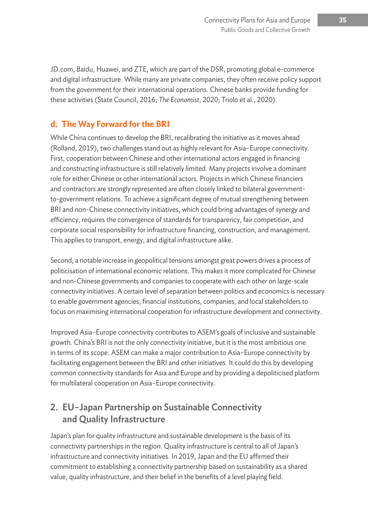JD.com, Baidu, Huawei, and ZTE, which are part of the DSR, promoting global e-commerce and digital infrastructure. While many are private companies, they often receive policy support from the government for their international operations. Chinese banks provide funding for these activities (State Council, 2016; *The Economist*, 2020; Triolo et al., 2020).

#### **d. The Way Forward for the BRI**

While China continues to develop the BRI, recalibrating the initiative as it moves ahead (Rolland, 2019), two challenges stand out as highly relevant for Asia–Europe connectivity. First, cooperation between Chinese and other international actors engaged in financing and constructing infrastructure is still relatively limited. Many projects involve a dominant role for either Chinese or other international actors. Projects in which Chinese financiers and contractors are strongly represented are often closely linked to bilateral governmentto-government relations. To achieve a significant degree of mutual strengthening between BRI and non-Chinese connectivity initiatives, which could bring advantages of synergy and efficiency, requires the convergence of standards for transparency, fair competition, and corporate social responsibility for infrastructure financing, construction, and management. This applies to transport, energy, and digital infrastructure alike.

Second, a notable increase in geopolitical tensions amongst great powers drives a process of politicisation of international economic relations. This makes it more complicated for Chinese and non-Chinese governments and companies to cooperate with each other on large-scale connectivity initiatives. A certain level of separation between politics and economics is necessary to enable government agencies, financial institutions, companies, and local stakeholders to focus on maximising international cooperation for infrastructure development and connectivity.

Improved Asia–Europe connectivity contributes to ASEM's goals of inclusive and sustainable growth. China's BRI is not the only connectivity initiative, but it is the most ambitious one in terms of its scope. ASEM can make a major contribution to Asia–Europe connectivity by facilitating engagement between the BRI and other initiatives. It could do this by developing common connectivity standards for Asia and Europe and by providing a depoliticised platform for multilateral cooperation on Asia–Europe connectivity.

### 2. EU–Japan Partnership on Sustainable Connectivity and Quality Infrastructure

Japan's plan for quality infrastructure and sustainable development is the basis of its connectivity partnerships in the region. Quality infrastructure is central to all of Japan's infrastructure and connectivity initiatives. In 2019, Japan and the EU affirmed their commitment to establishing a connectivity partnership based on sustainability as a shared value, quality infrastructure, and their belief in the benefits of a level playing field.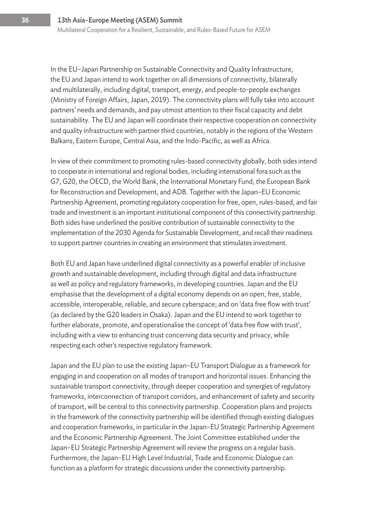In the EU–Japan Partnership on Sustainable Connectivity and Quality Infrastructure, the EU and Japan intend to work together on all dimensions of connectivity, bilaterally and multilaterally, including digital, transport, energy, and people-to-people exchanges (Ministry of Foreign Affairs, Japan, 2019). The connectivity plans will fully take into account partners' needs and demands, and pay utmost attention to their fiscal capacity and debt sustainability. The EU and Japan will coordinate their respective cooperation on connectivity and quality infrastructure with partner third countries, notably in the regions of the Western Balkans, Eastern Europe, Central Asia, and the Indo-Pacific, as well as Africa.

In view of their commitment to promoting rules-based connectivity globally, both sides intend to cooperate in international and regional bodies, including international fora such as the G7, G20, the OECD, the World Bank, the International Monetary Fund, the European Bank for Reconstruction and Development, and ADB. Together with the Japan–EU Economic Partnership Agreement, promoting regulatory cooperation for free, open, rules-based, and fair trade and investment is an important institutional component of this connectivity partnership. Both sides have underlined the positive contribution of sustainable connectivity to the implementation of the 2030 Agenda for Sustainable Development, and recall their readiness to support partner countries in creating an environment that stimulates investment.

Both EU and Japan have underlined digital connectivity as a powerful enabler of inclusive growth and sustainable development, including through digital and data infrastructure as well as policy and regulatory frameworks, in developing countries. Japan and the EU emphasise that the development of a digital economy depends on an open, free, stable, accessible, interoperable, reliable, and secure cyberspace; and on 'data free flow with trust' (as declared by the G20 leaders in Osaka). Japan and the EU intend to work together to further elaborate, promote, and operationalise the concept of 'data free flow with trust', including with a view to enhancing trust concerning data security and privacy, while respecting each other's respective regulatory framework.

Japan and the EU plan to use the existing Japan–EU Transport Dialogue as a framework for engaging in and cooperation on all modes of transport and horizontal issues. Enhancing the sustainable transport connectivity, through deeper cooperation and synergies of regulatory frameworks, interconnection of transport corridors, and enhancement of safety and security of transport, will be central to this connectivity partnership. Cooperation plans and projects in the framework of the connectivity partnership will be identified through existing dialogues and cooperation frameworks, in particular in the Japan–EU Strategic Partnership Agreement and the Economic Partnership Agreement. The Joint Committee established under the Japan–EU Strategic Partnership Agreement will review the progress on a regular basis. Furthermore, the Japan–EU High Level Industrial, Trade and Economic Dialogue can function as a platform for strategic discussions under the connectivity partnership.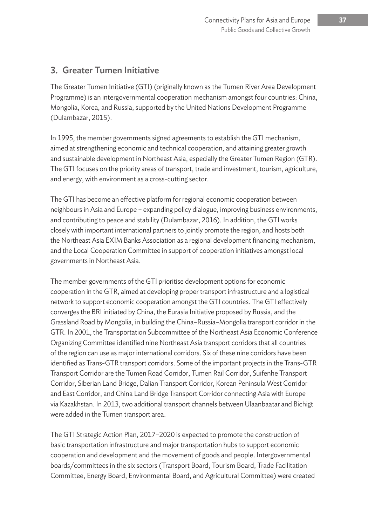#### 3. Greater Tumen Initiative

The Greater Tumen Initiative (GTI) (originally known as the Tumen River Area Development Programme) is an intergovernmental cooperation mechanism amongst four countries: China, Mongolia, Korea, and Russia, supported by the United Nations Development Programme (Dulambazar, 2015).

In 1995, the member governments signed agreements to establish the GTI mechanism, aimed at strengthening economic and technical cooperation, and attaining greater growth and sustainable development in Northeast Asia, especially the Greater Tumen Region (GTR). The GTI focuses on the priority areas of transport, trade and investment, tourism, agriculture, and energy, with environment as a cross-cutting sector.

The GTI has become an effective platform for regional economic cooperation between neighbours in Asia and Europe – expanding policy dialogue, improving business environments, and contributing to peace and stability (Dulambazar, 2016). In addition, the GTI works closely with important international partners to jointly promote the region, and hosts both the Northeast Asia EXIM Banks Association as a regional development financing mechanism, and the Local Cooperation Committee in support of cooperation initiatives amongst local governments in Northeast Asia.

The member governments of the GTI prioritise development options for economic cooperation in the GTR, aimed at developing proper transport infrastructure and a logistical network to support economic cooperation amongst the GTI countries. The GTI effectively converges the BRI initiated by China, the Eurasia Initiative proposed by Russia, and the Grassland Road by Mongolia, in building the China–Russia–Mongolia transport corridor in the GTR. In 2001, the Transportation Subcommittee of the Northeast Asia Economic Conference Organizing Committee identified nine Northeast Asia transport corridors that all countries of the region can use as major international corridors. Six of these nine corridors have been identified as Trans-GTR transport corridors. Some of the important projects in the Trans-GTR Transport Corridor are the Tumen Road Corridor, Tumen Rail Corridor, Suifenhe Transport Corridor, Siberian Land Bridge, Dalian Transport Corridor, Korean Peninsula West Corridor and East Corridor, and China Land Bridge Transport Corridor connecting Asia with Europe via Kazakhstan. In 2013, two additional transport channels between Ulaanbaatar and Bichigt were added in the Tumen transport area.

The GTI Strategic Action Plan, 2017–2020 is expected to promote the construction of basic transportation infrastructure and major transportation hubs to support economic cooperation and development and the movement of goods and people. Intergovernmental boards/committees in the six sectors (Transport Board, Tourism Board, Trade Facilitation Committee, Energy Board, Environmental Board, and Agricultural Committee) were created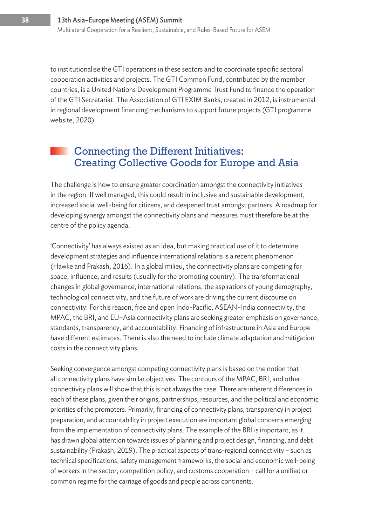to institutionalise the GTI operations in these sectors and to coordinate specific sectoral cooperation activities and projects. The GTI Common Fund, contributed by the member countries, is a United Nations Development Programme Trust Fund to finance the operation of the GTI Secretariat. The Association of GTI EXIM Banks, created in 2012, is instrumental in regional development financing mechanisms to support future projects (GTI programme website, 2020).

#### Connecting the Different Initiatives: Creating Collective Goods for Europe and Asia

The challenge is how to ensure greater coordination amongst the connectivity initiatives in the region. If well managed, this could result in inclusive and sustainable development, increased social well-being for citizens, and deepened trust amongst partners. A roadmap for developing synergy amongst the connectivity plans and measures must therefore be at the centre of the policy agenda.

'Connectivity' has always existed as an idea, but making practical use of it to determine development strategies and influence international relations is a recent phenomenon (Hawke and Prakash, 2016). In a global milieu, the connectivity plans are competing for space, influence, and results (usually for the promoting country). The transformational changes in global governance, international relations, the aspirations of young demography, technological connectivity, and the future of work are driving the current discourse on connectivity. For this reason, free and open Indo-Pacific, ASEAN–India connectivity, the MPAC, the BRI, and EU–Asia connectivity plans are seeking greater emphasis on governance, standards, transparency, and accountability. Financing of infrastructure in Asia and Europe have different estimates. There is also the need to include climate adaptation and mitigation costs in the connectivity plans.

Seeking convergence amongst competing connectivity plans is based on the notion that all connectivity plans have similar objectives. The contours of the MPAC, BRI, and other connectivity plans will show that this is not always the case. There are inherent differences in each of these plans, given their origins, partnerships, resources, and the political and economic priorities of the promoters. Primarily, financing of connectivity plans, transparency in project preparation, and accountability in project execution are important global concerns emerging from the implementation of connectivity plans. The example of the BRI is important, as it has drawn global attention towards issues of planning and project design, financing, and debt sustainability (Prakash, 2019). The practical aspects of trans-regional connectivity – such as technical specifications, safety management frameworks, the social and economic well-being of workers in the sector, competition policy, and customs cooperation – call for a unified or common regime for the carriage of goods and people across continents.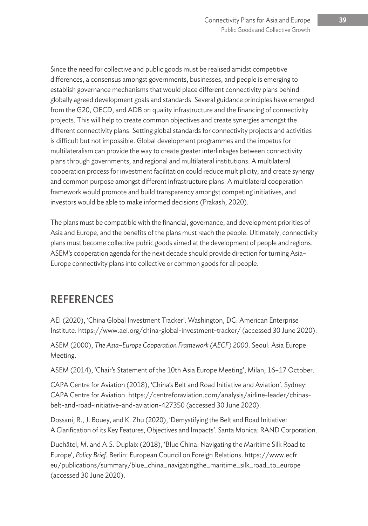Since the need for collective and public goods must be realised amidst competitive differences, a consensus amongst governments, businesses, and people is emerging to establish governance mechanisms that would place different connectivity plans behind globally agreed development goals and standards. Several guidance principles have emerged from the G20, OECD, and ADB on quality infrastructure and the financing of connectivity projects. This will help to create common objectives and create synergies amongst the different connectivity plans. Setting global standards for connectivity projects and activities is difficult but not impossible. Global development programmes and the impetus for multilateralism can provide the way to create greater interlinkages between connectivity plans through governments, and regional and multilateral institutions. A multilateral cooperation process for investment facilitation could reduce multiplicity, and create synergy and common purpose amongst different infrastructure plans. A multilateral cooperation framework would promote and build transparency amongst competing initiatives, and investors would be able to make informed decisions (Prakash, 2020).

The plans must be compatible with the financial, governance, and development priorities of Asia and Europe, and the benefits of the plans must reach the people. Ultimately, connectivity plans must become collective public goods aimed at the development of people and regions. ASEM's cooperation agenda for the next decade should provide direction for turning Asia– Europe connectivity plans into collective or common goods for all people.

# **REFERENCES**

AEI (2020), 'China Global Investment Tracker'. Washington, DC: American Enterprise Institute. https://www.aei.org/china-global-investment-tracker/ (accessed 30 June 2020).

ASEM (2000), *The Asia–Europe Cooperation Framework (AECF) 2000*. Seoul: Asia Europe Meeting.

ASEM (2014), 'Chair's Statement of the 10th Asia Europe Meeting', Milan, 16–17 October.

CAPA Centre for Aviation (2018), 'China's Belt and Road Initiative and Aviation'. Sydney: CAPA Centre for Aviation. https://centreforaviation.com/analysis/airline-leader/chinasbelt-and-road-initiative-and-aviation-427350 (accessed 30 June 2020).

Dossani, R., J. Bouey, and K. Zhu (2020), 'Demystifying the Belt and Road Initiative: A Clarification of its Key Features, Objectives and Impacts'. Santa Monica: RAND Corporation.

Duchâtel, M. and A.S. Duplaix (2018), 'Blue China: Navigating the Maritime Silk Road to Europe', *Policy Brief.* Berlin: European Council on Foreign Relations. https://www.ecfr. eu/publications/summary/blue\_china\_navigatingthe\_maritime\_silk\_road\_to\_europe (accessed 30 June 2020).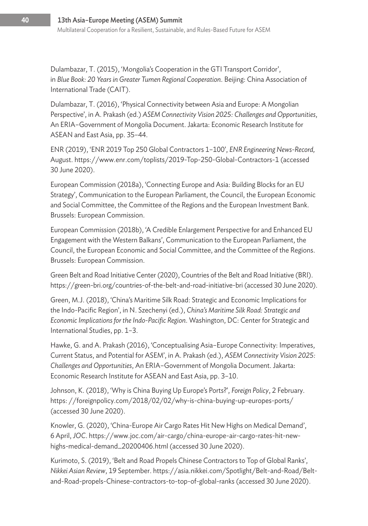Dulambazar, T. (2015), 'Mongolia's Cooperation in the GTI Transport Corridor', in *Blue Book: 20 Years in Greater Tumen Regional Cooperation*. Beijing: China Association of International Trade (CAIT).

Dulambazar, T. (2016), 'Physical Connectivity between Asia and Europe: A Mongolian Perspective', in A. Prakash (ed.) *ASEM Connectivity Vision 2025: Challenges and Opportunities*, An ERIA–Government of Mongolia Document. Jakarta: Economic Research Institute for ASEAN and East Asia, pp. 35–44.

ENR (2019), 'ENR 2019 Top 250 Global Contractors 1–100', *ENR Engineering News-Record,*  August. https://www.enr.com/toplists/2019-Top-250-Global-Contractors-1 (accessed 30 June 2020).

European Commission (2018a), 'Connecting Europe and Asia: Building Blocks for an EU Strategy', Communication to the European Parliament, the Council, the European Economic and Social Committee, the Committee of the Regions and the European Investment Bank. Brussels: European Commission.

European Commission (2018b), 'A Credible Enlargement Perspective for and Enhanced EU Engagement with the Western Balkans', Communication to the European Parliament, the Council, the European Economic and Social Committee, and the Committee of the Regions. Brussels: European Commission.

Green Belt and Road Initiative Center (2020), Countries of the Belt and Road Initiative (BRI). https://green-bri.org/countries-of-the-belt-and-road-initiative-bri (accessed 30 June 2020).

Green, M.J. (2018), 'China's Maritime Silk Road: Strategic and Economic Implications for the Indo-Pacific Region', in N. Szechenyi (ed.), *China's Maritime Silk Road: Strategic and Economic Implications for the Indo-Pacific Region*. Washington, DC: Center for Strategic and International Studies, pp. 1–3.

Hawke, G. and A. Prakash (2016), 'Conceptualising Asia–Europe Connectivity: Imperatives, Current Status, and Potential for ASEM', in A. Prakash (ed.), *ASEM Connectivity Vision 2025: Challenges and Opportunities*, An ERIA–Government of Mongolia Document. Jakarta: Economic Research Institute for ASEAN and East Asia, pp. 3–10.

Johnson, K. (2018), 'Why is China Buying Up Europe's Ports?', *Foreign Policy*, 2 February. https: //foreignpolicy.com/2018/02/02/why-is-china-buying-up-europes-ports/ (accessed 30 June 2020).

Knowler, G. (2020), 'China-Europe Air Cargo Rates Hit New Highs on Medical Demand', 6 April, *JOC*. https://www.joc.com/air-cargo/china-europe-air-cargo-rates-hit-newhighs-medical-demand\_20200406.html (accessed 30 June 2020).

Kurimoto, S. (2019), 'Belt and Road Propels Chinese Contractors to Top of Global Ranks', *Nikkei Asian Review*, 19 September. https://asia.nikkei.com/Spotlight/Belt-and-Road/Beltand-Road-propels-Chinese-contractors-to-top-of-global-ranks (accessed 30 June 2020).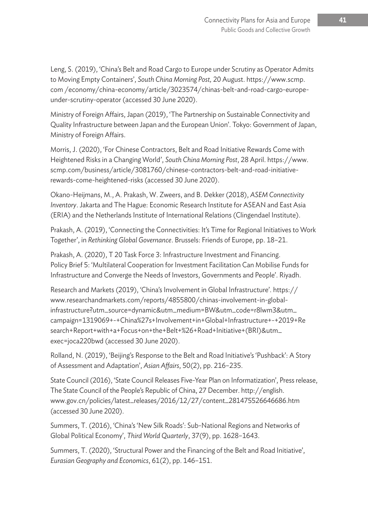Leng, S. (2019), 'China's Belt and Road Cargo to Europe under Scrutiny as Operator Admits to Moving Empty Containers', *South China Morning Post,* 20 August. https://www.scmp. com /economy/china-economy/article/3023574/chinas-belt-and-road-cargo-europeunder-scrutiny-operator (accessed 30 June 2020).

Ministry of Foreign Affairs, Japan (2019), 'The Partnership on Sustainable Connectivity and Quality Infrastructure between Japan and the European Union'. Tokyo: Government of Japan, Ministry of Foreign Affairs.

Morris, J. (2020), 'For Chinese Contractors, Belt and Road Initiative Rewards Come with Heightened Risks in a Changing World', *South China Morning Post*, 28 April. https://www. scmp.com/business/article/3081760/chinese-contractors-belt-and-road-initiativerewards-come-heightened-risks (accessed 30 June 2020).

Okano-Heijmans, M., A. Prakash, W. Zweers, and B. Dekker (2018), *ASEM Connectivity Inventory*. Jakarta and The Hague: Economic Research Institute for ASEAN and East Asia (ERIA) and the Netherlands Institute of International Relations (Clingendael Institute).

Prakash, A. (2019), 'Connecting the Connectivities: It's Time for Regional Initiatives to Work Together', in *Rethinking Global Governance*. Brussels: Friends of Europe, pp. 18–21.

Prakash, A. (2020), T 20 Task Force 3: Infrastructure Investment and Financing. Policy Brief 5: 'Multilateral Cooperation for Investment Facilitation Can Mobilise Funds for Infrastructure and Converge the Needs of Investors, Governments and People'. Riyadh.

Research and Markets (2019), 'China's Involvement in Global Infrastructure'. https:// www.researchandmarkets.com/reports/4855800/chinas-involvement-in-globalinfrastructure?utm\_source=dynamic&utm\_medium=BW&utm\_code=r8lwm3&utm\_ campaign=1319069+-+China%27s+Involvement+in+Global+Infrastructure+-+2019+Re search+Report+with+a+Focus+on+the+Belt+%26+Road+Initiative+(BRI)&utm\_ exec=joca220bwd (accessed 30 June 2020).

Rolland, N. (2019), 'Beijing's Response to the Belt and Road Initiative's 'Pushback': A Story of Assessment and Adaptation', *Asian Affairs*, 50(2), pp. 216–235.

State Council (2016), 'State Council Releases Five-Year Plan on Informatization', Press release, The State Council of the People's Republic of China, 27 December. http://english. www.gov.cn/policies/latest\_releases/2016/12/27/content\_281475526646686.htm (accessed 30 June 2020).

Summers, T. (2016), 'China's 'New Silk Roads': Sub-National Regions and Networks of Global Political Economy', *Third World Quarterly*, 37(9), pp. 1628–1643.

Summers, T. (2020), 'Structural Power and the Financing of the Belt and Road Initiative', *Eurasian Geography and Economics*, 61(2), pp. 146–151.